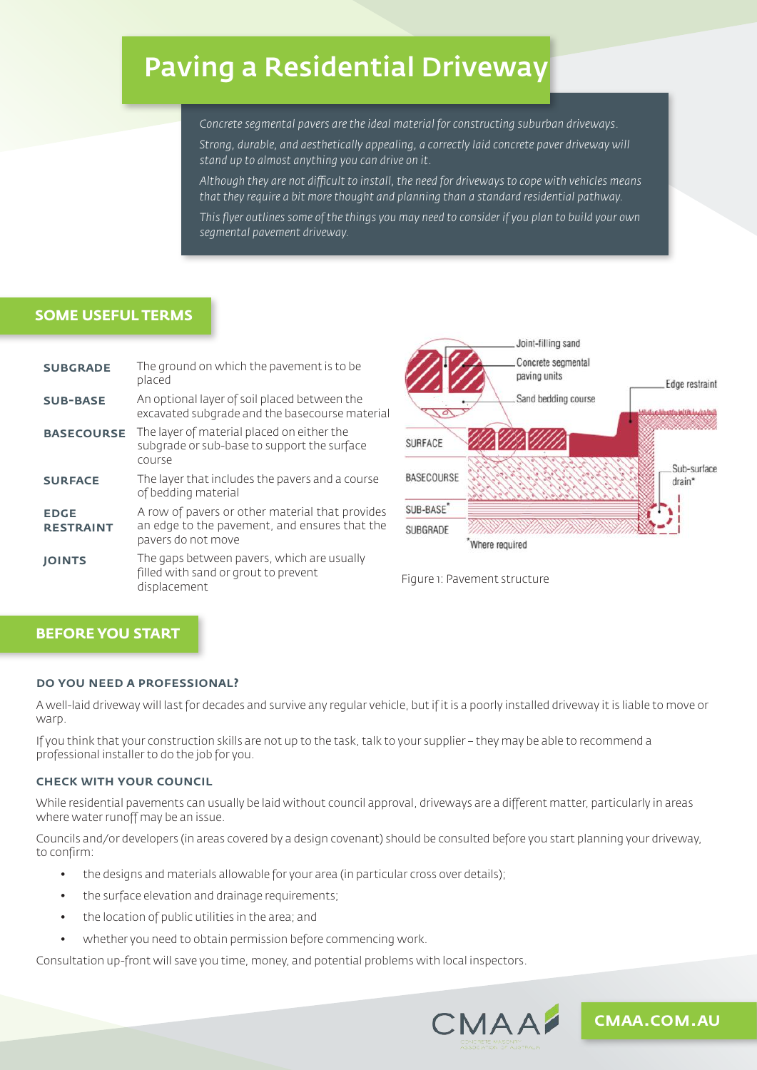# Paving a Residential Driveway

*Concrete segmental pavers are the ideal material for constructing suburban driveways.* 

*Strong, durable, and aesthetically appealing, a correctly laid concrete paver driveway will stand up to almost anything you can drive on it.* 

*Although they are not difficult to install, the need for driveways to cope with vehicles means that they require a bit more thought and planning than a standard residential pathway.* 

*This flyer outlines some of the things you may need to consider if you plan to build your own segmental pavement driveway.* 

## **SOME USEFUL TERMS**

| <b>SUBGRADE</b>                 | The ground on which the pavement is to be<br>placed                                                                    |
|---------------------------------|------------------------------------------------------------------------------------------------------------------------|
| <b>SUB-BASE</b>                 | An optional layer of soil placed between the<br>excavated subgrade and the basecourse material                         |
| <b>BASECOURSE</b>               | The layer of material placed on either the<br>subgrade or sub-base to support the surface<br>course                    |
| <b>SURFACE</b>                  | The layer that includes the pavers and a course<br>of bedding material                                                 |
| <b>EDGE</b><br><b>RESTRAINT</b> | A row of pavers or other material that provides<br>an edge to the pavement, and ensures that the<br>pavers do not move |
| <b>JOINTS</b>                   | The gaps between pavers, which are usually<br>filled with sand or grout to prevent<br>displacement                     |





## **BEFORE YOU START**

#### do you need a professional?

A well-laid driveway will last for decades and survive any regular vehicle, but if it is a poorly installed driveway it is liable to move or warp.

If you think that your construction skills are not up to the task, talk to your supplier – they may be able to recommend a professional installer to do the job for you.

#### check with your council

While residential pavements can usually be laid without council approval, driveways are a different matter, particularly in areas where water runoff may be an issue.

Councils and/or developers (in areas covered by a design covenant) should be consulted before you start planning your driveway, to confirm:

- the designs and materials allowable for your area (in particular cross over details);
- the surface elevation and drainage requirements;
- the location of public utilities in the area; and
- whether you need to obtain permission before commencing work.

Consultation up-front will save you time, money, and potential problems with local inspectors.



cmaa.com.au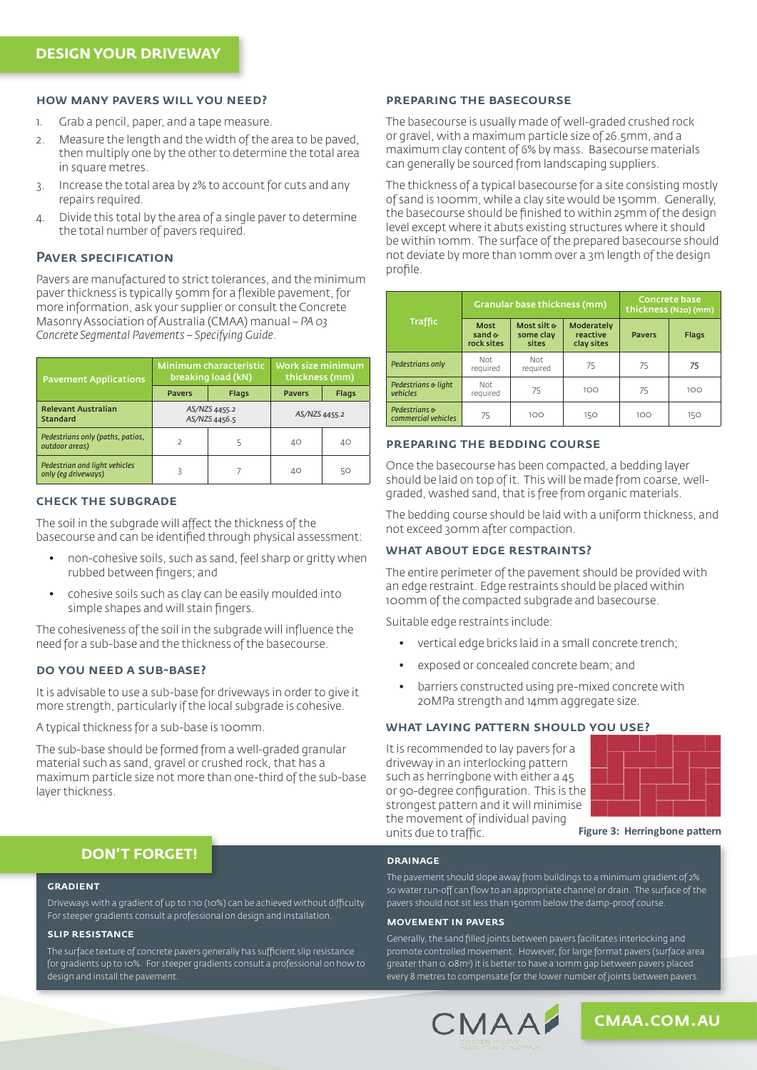#### how many pavers will you need?

- 1. Grab a pencil, paper, and a tape measure.
- 2. Measure the length and the width of the area to be paved, then multiply one by the other to determine the total area in square metres.
- 3. Increase the total area by 2% to account for cuts and any repairs required.
- 4. Divide this total by the area of a single paver to determine the total number of pavers required.

#### PAVER SPECIFICATION

Pavers are manufactured to strict tolerances, and the minimum paver thickness is typically 50mm for a flexible pavement, for more information, ask your supplier or consult the Concrete Masonry Association of Australia (CMAA) manual – *PA 03 Concrete Segmental Pavements – Specifying Guide.*

| <b>Pavement Applications</b>                         |                                | Minimum characteristic<br>breaking load (kN) | Work size minimum<br>thickness (mm) |       |
|------------------------------------------------------|--------------------------------|----------------------------------------------|-------------------------------------|-------|
|                                                      | <b>Pavers</b>                  | <b>Flags</b>                                 | <b>Pavers</b>                       | Flags |
| <b>Relevant Australian</b><br><b>Standard</b>        | AS/NZS 4455.2<br>AS/NZS 4456.5 |                                              | AS/NZS 4455.2                       |       |
| Pedestrians only (paths, patios,<br>outdoor areas)   | $\mathcal{P}$                  |                                              | 40                                  | 40    |
| Pedestrian and light vehicles<br>only (eq driveways) |                                |                                              | 40                                  | 50    |

#### check the subgrade

The soil in the subgrade will affect the thickness of the basecourse and can be identified through physical assessment:

- non-cohesive soils, such as sand, feel sharp or gritty when rubbed between fingers; and
- cohesive soils such as clay can be easily moulded into simple shapes and will stain fingers.

The cohesiveness of the soil in the subgrade will influence the need for a sub-base and the thickness of the basecourse.

#### do you need a sub-base?

It is advisable to use a sub-base for driveways in order to give it more strength, particularly if the local subgrade is cohesive.

A typical thickness for a sub-base is 100mm.

The sub-base should be formed from a well-graded granular material such as sand, gravel or crushed rock, that has a maximum particle size not more than one-third of the sub-base layer thickness.

#### preparing the basecourse

The basecourse is usually made of well-graded crushed rock or gravel, with a maximum particle size of 26.5mm, and a maximum clay content of 6% by mass. Basecourse materials can generally be sourced from landscaping suppliers.

The thickness of a typical basecourse for a site consisting mostly of sand is 100mm, while a clay site would be 150mm. Generally, the basecourse should be finished to within 25mm of the design level except where it abuts existing structures where it should be within 10mm. The surface of the prepared basecourse should not deviate by more than 10mm over a 3m length of the design profile.

| <b>Traffic</b>                       |                                       | Granular base thickness (mm)      | <b>Concrete base</b><br>thickness (N20) (mm) |               |              |
|--------------------------------------|---------------------------------------|-----------------------------------|----------------------------------------------|---------------|--------------|
|                                      | <b>Most</b><br>sand $G$<br>rock sites | Most silt &<br>some clay<br>sites | Moderately<br>reactive<br>clay sites         | <b>Pavers</b> | <b>Flags</b> |
| Pedestrians only                     | Not<br>required                       | Not<br>required                   | 75                                           | 75            | 75           |
| Pedestrians & light<br>vehicles      | Not<br>required                       | 75                                | 100                                          | 75            | 100          |
| Pedestrians &<br>commercial vehicles | 75                                    | 100                               | 150                                          | 100           | 150          |

#### preparing the bedding course

Once the basecourse has been compacted, a bedding layer should be laid on top of it. This will be made from coarse, wellgraded, washed sand, that is free from organic materials.

The bedding course should be laid with a uniform thickness, and not exceed 30mm after compaction.

#### WHAT ABOUT EDGE RESTRAINTS?

The entire perimeter of the pavement should be provided with an edge restraint. Edge restraints should be placed within 100mm of the compacted subgrade and basecourse.

Suitable edge restraints include:

- vertical edge bricks laid in a small concrete trench;
- exposed or concealed concrete beam; and
- barriers constructed using pre-mixed concrete with 20MPa strength and 14mm aggregate size.

#### what laying pattern should you use?

It is recommended to lay pavers for a driveway in an interlocking pattern such as herringbone with either a 45 or 90-degree configuration. This is the strongest pattern and it will minimise the movement of individual paving units due to traffic.



**Figure 3: Herringbone pattern** 

### **DON'T FORGET!**

#### **GRADIENT**

Driveways with a gradient of up to 1:10 (10%) can be achieved without difficulty. For steeper gradients consult a professional on design and installation.

#### slip resistance

The surface texture of concrete pavers generally has sufficient slip resistance for gradients up to 10%. For steeper gradients consult a professional on how to design and install the pavement.

#### drainage

The pavement should slope away from buildings to a minimum gradient of 2% so water run-off can flow to an appropriate channel or drain. The surface of the pavers should n0t sit less than 150mm below the damp-proof course.

#### movement in pavers

Generally, the sand filled joints between pavers facilitates interlocking and promote controlled movement. However, for large format pavers (surface area greater than 0.08m2 ) it is better to have a 10mm gap between pavers placed every 8 metres to compensate for the lower number of joints between pavers.



cmaa.com.au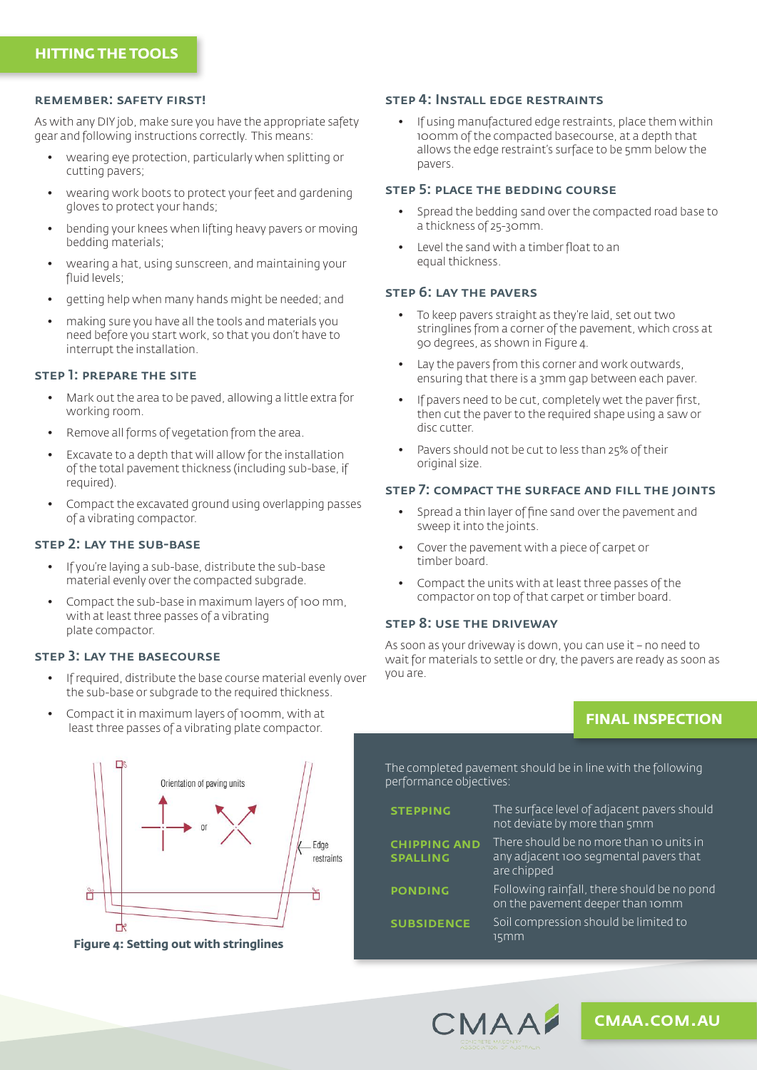#### remember: safety first!

As with any DIY job, make sure you have the appropriate safety gear and following instructions correctly. This means:

- wearing eye protection, particularly when splitting or cutting pavers;
- wearing work boots to protect your feet and gardening gloves to protect your hands;
- bending your knees when lifting heavy pavers or moving bedding materials;
- wearing a hat, using sunscreen, and maintaining your fluid levels;
- getting help when many hands might be needed; and
- making sure you have all the tools and materials you need before you start work, so that you don't have to interrupt the installation.

#### step 1: prepare the site

- Mark out the area to be paved, allowing a little extra for working room.
- Remove all forms of vegetation from the area.
- Excavate to a depth that will allow for the installation of the total pavement thickness (including sub-base, if required).
- Compact the excavated ground using overlapping passes of a vibrating compactor.

#### step 2: lay the sub-base

- If you're laying a sub-base, distribute the sub-base material evenly over the compacted subgrade.
- Compact the sub-base in maximum layers of 100 mm, with at least three passes of a vibrating plate compactor.

#### step 3: lay the basecourse

- If required, distribute the base course material evenly over the sub-base or subgrade to the required thickness.
- Compact it in maximum layers of 100mm, with at least three passes of a vibrating plate compactor.

## $\Gamma$ Orientation of paving units Edge restraints Ů Ď ₿

**Figure 4: Setting out with stringlines Figure 4: Setting out with stringlines**

#### step 4: Install edge restraints

• If using manufactured edge restraints, place them within 100mm of the compacted basecourse, at a depth that allows the edge restraint's surface to be 5mm below the pavers.

#### step 5: place the bedding course

- Spread the bedding sand over the compacted road base to a thickness of 25-30mm.
- Level the sand with a timber float to an equal thickness.

#### step 6: lay the pavers

- To keep pavers straight as they're laid, set out two stringlines from a corner of the pavement, which cross at 90 degrees, as shown in Figure 4.
- Lay the pavers from this corner and work outwards, ensuring that there is a 3mm gap between each paver.
- If pavers need to be cut, completely wet the paver first, then cut the paver to the required shape using a saw or disc cutter.
- Pavers should not be cut to less than 25% of their original size.

#### step 7: compact the surface and fill the joints

- Spread a thin layer of fine sand over the pavement and sweep it into the joints.
- Cover the pavement with a piece of carpet or timber board.
- Compact the units with at least three passes of the compactor on top of that carpet or timber board.

#### step 8: use the driveway

As soon as your driveway is down, you can use it – no need to wait for materials to settle or dry, the pavers are ready as soon as you are.

## **FINAL INSPECTION**

The completed pavement should be in line with the following performance objectives:

**STEPPING** The surface level of adjacent pavers should not deviate by more than 5mm chipping and **SPALLING** There should be no more than 10 units in any adjacent 100 segmental pavers that are chipped **PONDING** Following rainfall, there should be no pond on the pavement deeper than 10mm **SUBSIDENCE** Soil compression should be limited to 15mm